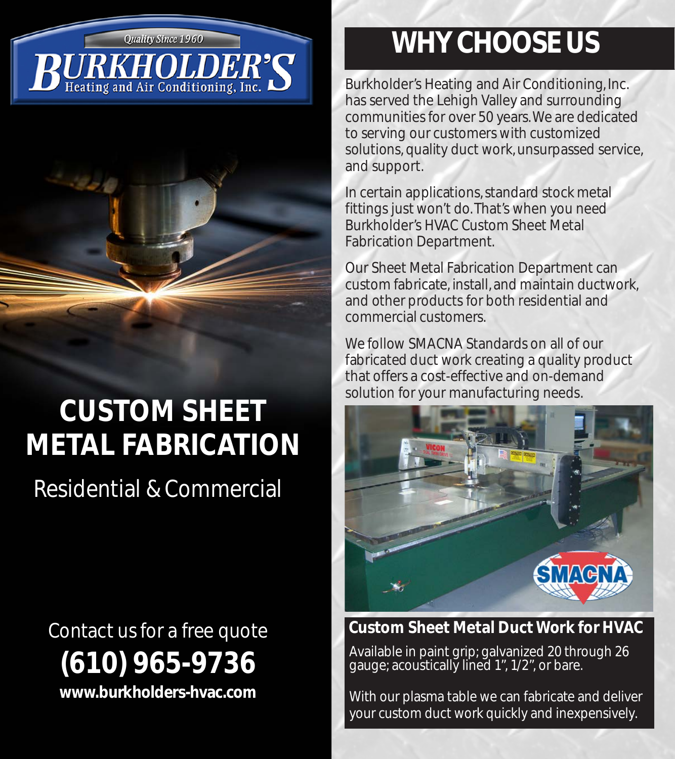**Quality Since 1960** 

# Heating and Air Conditioning, Inc.



# **CUSTOM SHEET METAL FABRICATION**

Residential & Commercial

Contact us for a free quote **(610) 965-9736 www.burkholders-hvac.com**

### **WHY CHOOSE US**

Burkholder's Heating and Air Conditioning, Inc. has served the Lehigh Valley and surrounding communities for over 50 years. We are dedicated to serving our customers with customized solutions, quality duct work, unsurpassed service, and support.

In certain applications, standard stock metal fittings just won't do. That's when you need Burkholder's HVAC Custom Sheet Metal Fabrication Department.

Our Sheet Metal Fabrication Department can custom fabricate, install, and maintain ductwork, and other products for both residential and commercial customers.

We follow SMACNA Standards on all of our fabricated duct work creating a quality product that offers a cost-effective and on-demand solution for your manufacturing needs.



### **Custom Sheet Metal Duct Work for HVAC**

Available in paint grip; galvanized 20 through 26 gauge; acoustically lined 1", 1/2", or bare.

With our plasma table we can fabricate and deliver your custom duct work quickly and inexpensively.